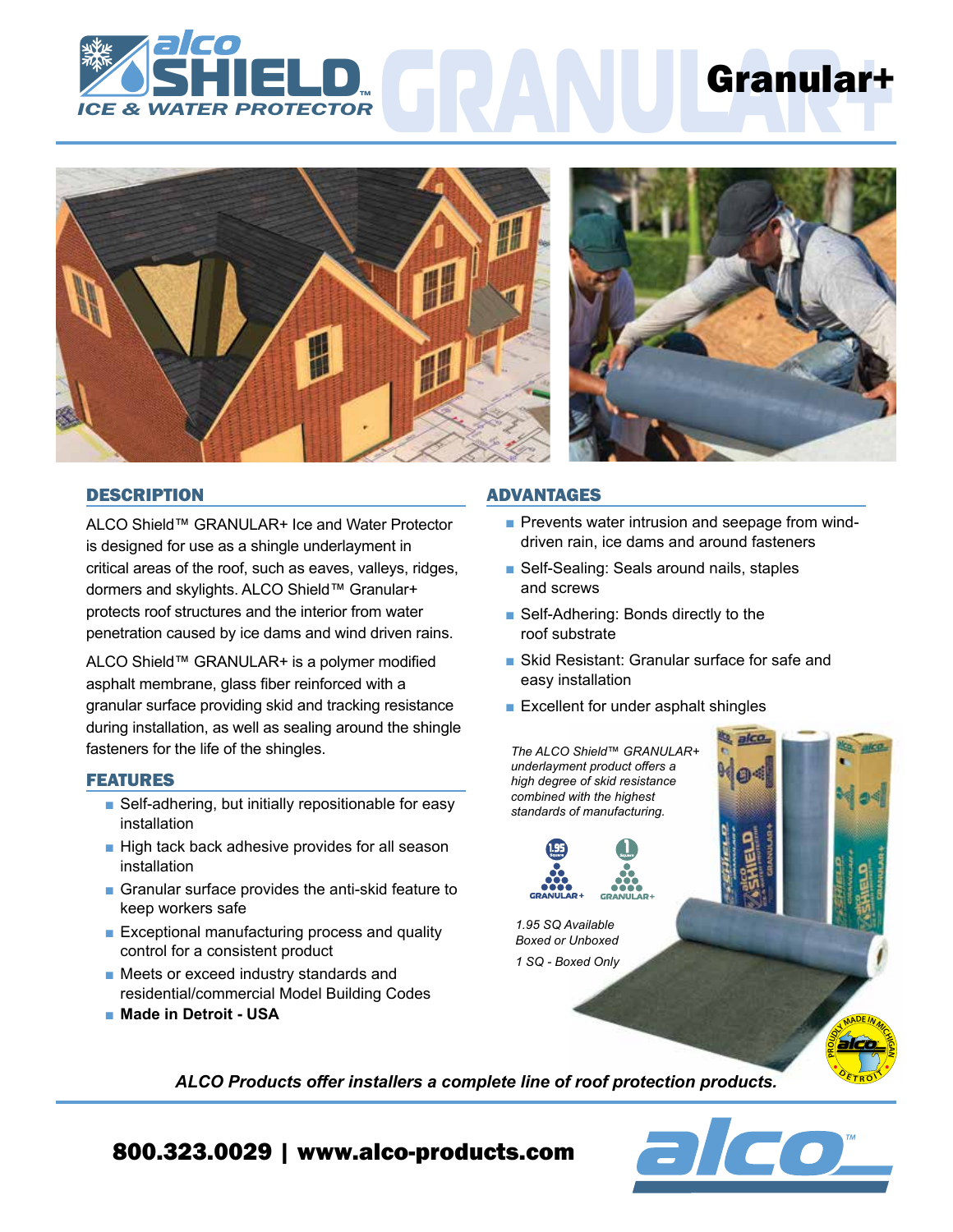





# **DESCRIPTION**

ALCO Shield™ GRANULAR+ Ice and Water Protector is designed for use as a shingle underlayment in critical areas of the roof, such as eaves, valleys, ridges, dormers and skylights. ALCO Shield™ Granular+ protects roof structures and the interior from water penetration caused by ice dams and wind driven rains.

ALCO Shield™ GRANULAR+ is a polymer modified asphalt membrane, glass fiber reinforced with a granular surface providing skid and tracking resistance during installation, as well as sealing around the shingle fasteners for the life of the shingles.

# FEATURES

- Self-adhering, but initially repositionable for easy installation
- High tack back adhesive provides for all season installation
- Granular surface provides the anti-skid feature to keep workers safe
- Exceptional manufacturing process and quality control for a consistent product
- Meets or exceed industry standards and residential/commercial Model Building Codes
- Made in Detroit USA

### ADVANTAGES

- Prevents water intrusion and seepage from winddriven rain, ice dams and around fasteners
- Self-Sealing: Seals around nails, staples and screws
- Self-Adhering: Bonds directly to the roof substrate
- Skid Resistant: Granular surface for safe and easy installation
- Excellent for under asphalt shingles



 $\overline{\mathbf{C}}$ 

*ALCO Products offer installers a complete line of roof protection products.*

# 800.323.0029 | www.alco-products.com